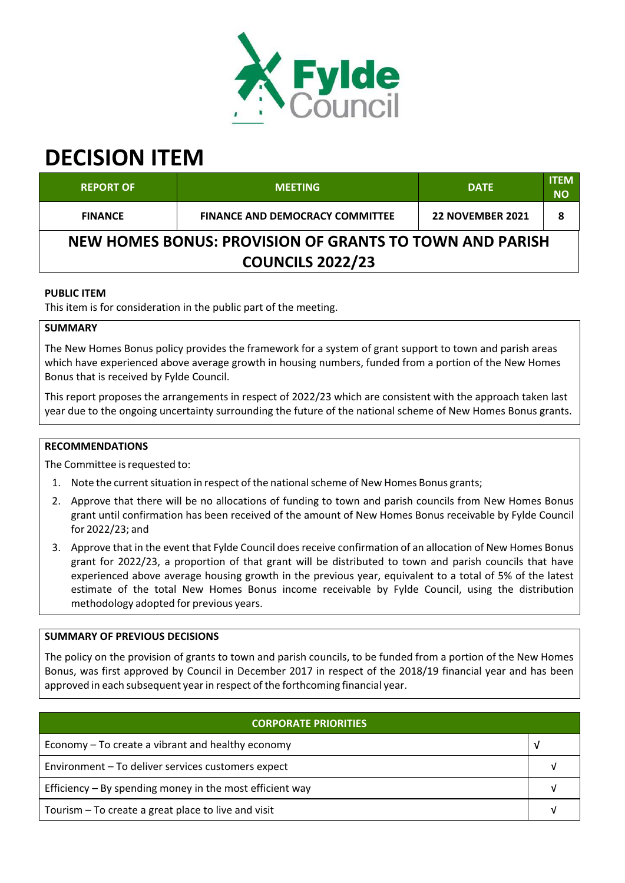

# **DECISION ITEM**

| <b>REPORT OF</b>                                                                   | <b>MEETING</b>                         | <b>DATE</b>             | <b>ITEM</b><br><b>NO</b> |  |
|------------------------------------------------------------------------------------|----------------------------------------|-------------------------|--------------------------|--|
| <b>FINANCE</b>                                                                     | <b>FINANCE AND DEMOCRACY COMMITTEE</b> | <b>22 NOVEMBER 2021</b> |                          |  |
| NEW HOMES BONUS: PROVISION OF GRANTS TO TOWN AND PARISH<br><b>COUNCILS 2022/23</b> |                                        |                         |                          |  |

## **PUBLIC ITEM**

This item is for consideration in the public part of the meeting.

## **SUMMARY**

The New Homes Bonus policy provides the framework for a system of grant support to town and parish areas which have experienced above average growth in housing numbers, funded from a portion of the New Homes Bonus that is received by Fylde Council.

This report proposes the arrangements in respect of 2022/23 which are consistent with the approach taken last year due to the ongoing uncertainty surrounding the future of the national scheme of New Homes Bonus grants.

## **RECOMMENDATIONS**

The Committee is requested to:

- 1. Note the current situation in respect of the national scheme of New Homes Bonus grants;
- 2. Approve that there will be no allocations of funding to town and parish councils from New Homes Bonus grant until confirmation has been received of the amount of New Homes Bonus receivable by Fylde Council for 2022/23; and
- 3. Approve that in the event that Fylde Council does receive confirmation of an allocation of New Homes Bonus grant for 2022/23, a proportion of that grant will be distributed to town and parish councils that have experienced above average housing growth in the previous year, equivalent to a total of 5% of the latest estimate of the total New Homes Bonus income receivable by Fylde Council, using the distribution methodology adopted for previous years.

#### **SUMMARY OF PREVIOUS DECISIONS**

The policy on the provision of grants to town and parish councils, to be funded from a portion of the New Homes Bonus, was first approved by Council in December 2017 in respect of the 2018/19 financial year and has been approved in each subsequent year in respect of the forthcoming financial year.

| <b>CORPORATE PRIORITIES</b>                                |  |  |
|------------------------------------------------------------|--|--|
| Economy – To create a vibrant and healthy economy          |  |  |
| Environment - To deliver services customers expect         |  |  |
| Efficiency $-$ By spending money in the most efficient way |  |  |
| Tourism – To create a great place to live and visit        |  |  |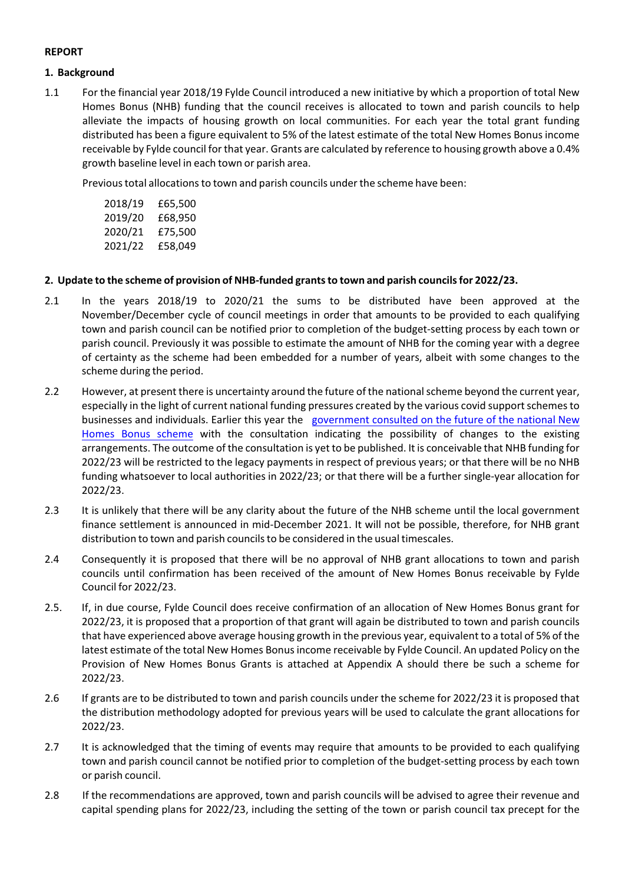## **REPORT**

#### **1. Background**

1.1 For the financial year 2018/19 Fylde Council introduced a new initiative by which a proportion of total New Homes Bonus (NHB) funding that the council receives is allocated to town and parish councils to help alleviate the impacts of housing growth on local communities. For each year the total grant funding distributed has been a figure equivalent to 5% of the latest estimate of the total New Homes Bonus income receivable by Fylde council forthat year. Grants are calculated by reference to housing growth above a 0.4% growth baseline level in each town or parish area.

Previous total allocations to town and parish councils under the scheme have been:

| 2018/19 | £65,500 |
|---------|---------|
| 2019/20 | £68,950 |
| 2020/21 | £75,500 |
| 2021/22 | £58,049 |

### **2. Update to the scheme of provision of NHB‐funded grantsto town and parish councilsfor 2022/23.**

- 2.1 In the years 2018/19 to 2020/21 the sums to be distributed have been approved at the November/December cycle of council meetings in order that amounts to be provided to each qualifying town and parish council can be notified prior to completion of the budget‐setting process by each town or parish council. Previously it was possible to estimate the amount of NHB for the coming year with a degree of certainty as the scheme had been embedded for a number of years, albeit with some changes to the scheme during the period.
- 2.2 However, at present there is uncertainty around the future of the national scheme beyond the current year, especially in the light of current national funding pressures created by the various covid supportschemesto businesses and individuals. Earlier this year the government consulted on the future of the national New Homes Bonus scheme with the consultation indicating the possibility of changes to the existing arrangements. The outcome of the consultation is yet to be published. It is conceivable that NHB funding for 2022/23 will be restricted to the legacy payments in respect of previous years; or that there will be no NHB funding whatsoever to local authorities in 2022/23; or that there will be a further single‐year allocation for 2022/23.
- 2.3 It is unlikely that there will be any clarity about the future of the NHB scheme until the local government finance settlement is announced in mid‐December 2021. It will not be possible, therefore, for NHB grant distribution to town and parish councilsto be considered in the usual timescales.
- 2.4 Consequently it is proposed that there will be no approval of NHB grant allocations to town and parish councils until confirmation has been received of the amount of New Homes Bonus receivable by Fylde Council for 2022/23.
- 2.5. If, in due course, Fylde Council does receive confirmation of an allocation of New Homes Bonus grant for 2022/23, it is proposed that a proportion of that grant will again be distributed to town and parish councils that have experienced above average housing growth in the previous year, equivalent to a total of 5% of the latest estimate of the total New Homes Bonusincome receivable by Fylde Council. An updated Policy on the Provision of New Homes Bonus Grants is attached at Appendix A should there be such a scheme for 2022/23.
- 2.6 If grants are to be distributed to town and parish councils under the scheme for 2022/23 it is proposed that the distribution methodology adopted for previous years will be used to calculate the grant allocations for 2022/23.
- 2.7 It is acknowledged that the timing of events may require that amounts to be provided to each qualifying town and parish council cannot be notified prior to completion of the budget‐setting process by each town or parish council.
- 2.8 If the recommendations are approved, town and parish councils will be advised to agree their revenue and capital spending plans for 2022/23, including the setting of the town or parish council tax precept for the